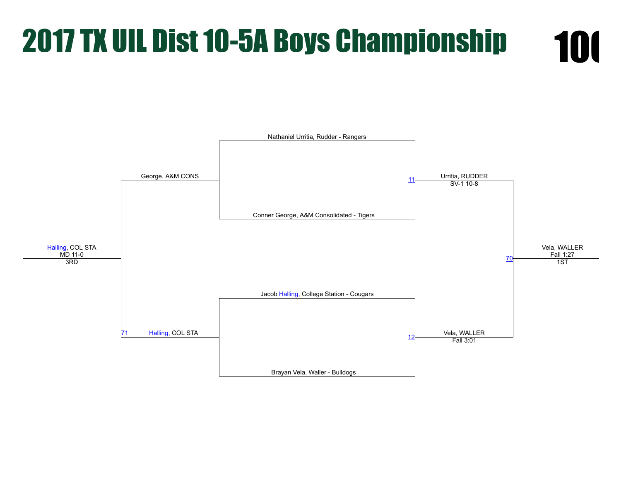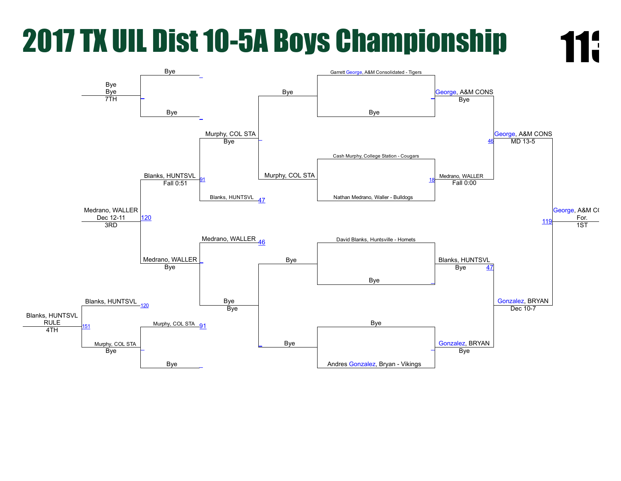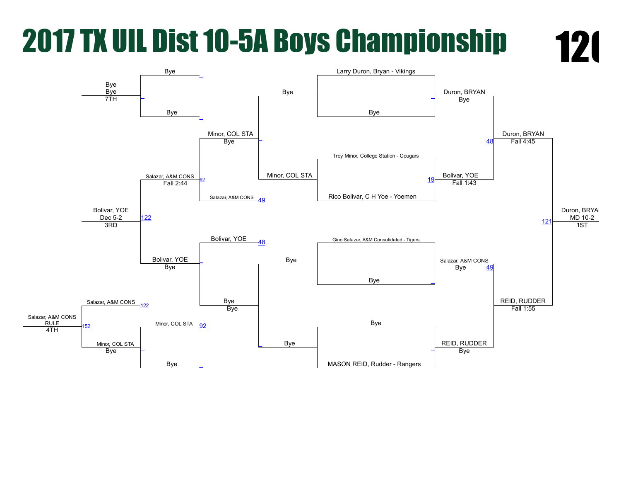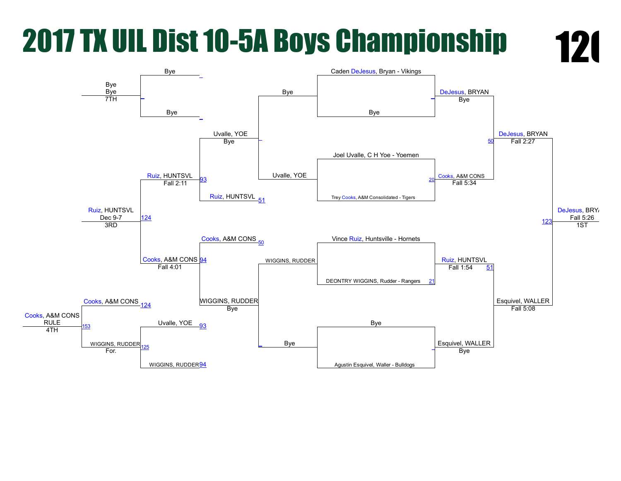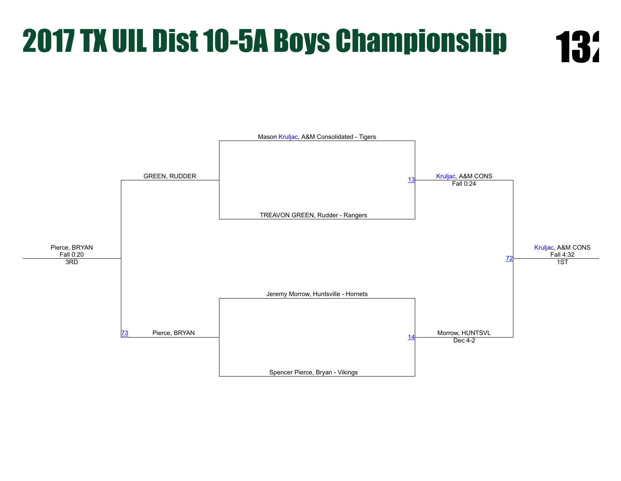

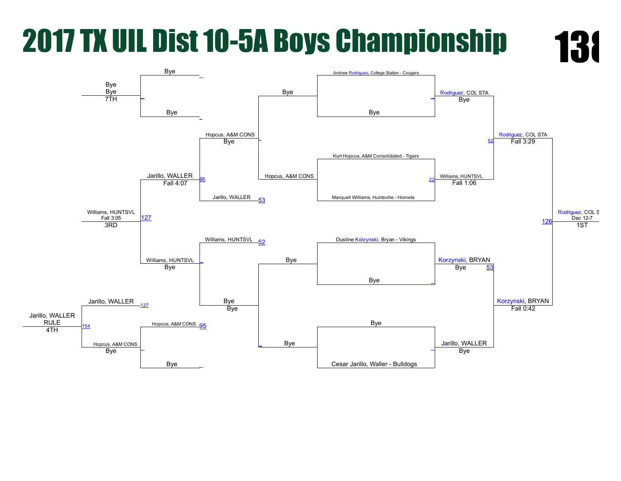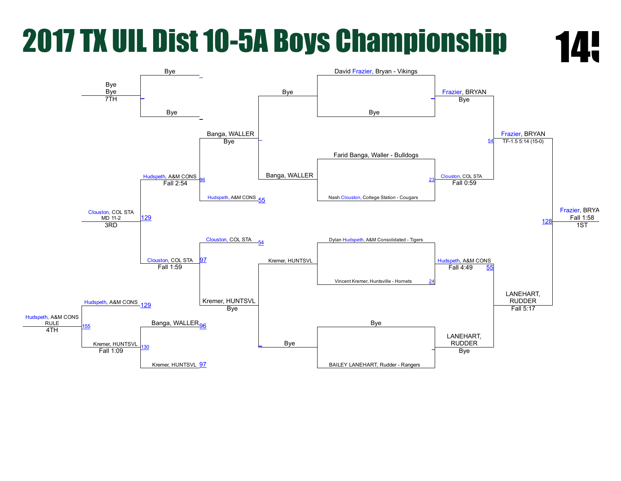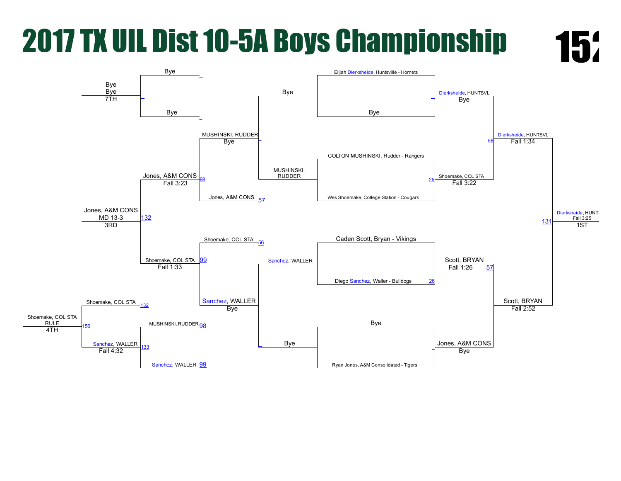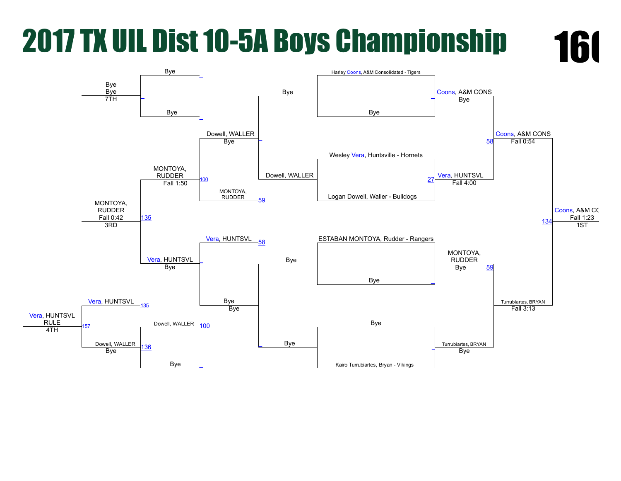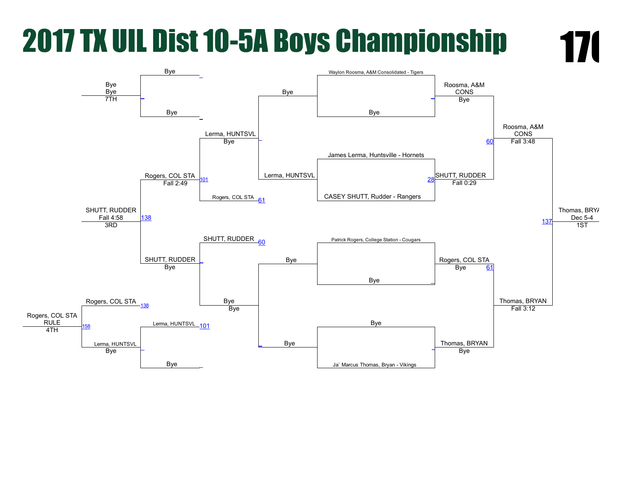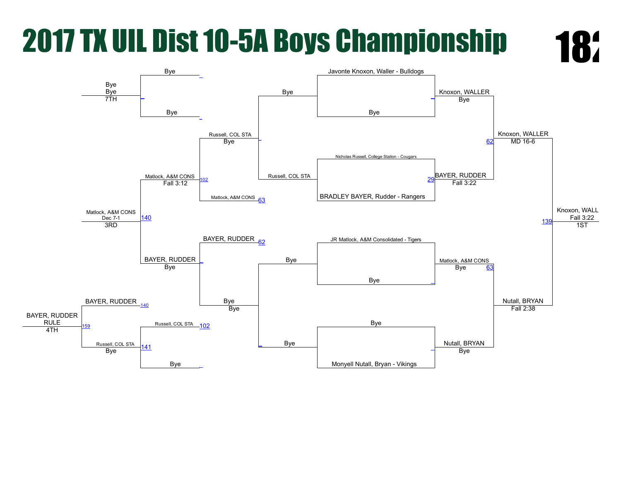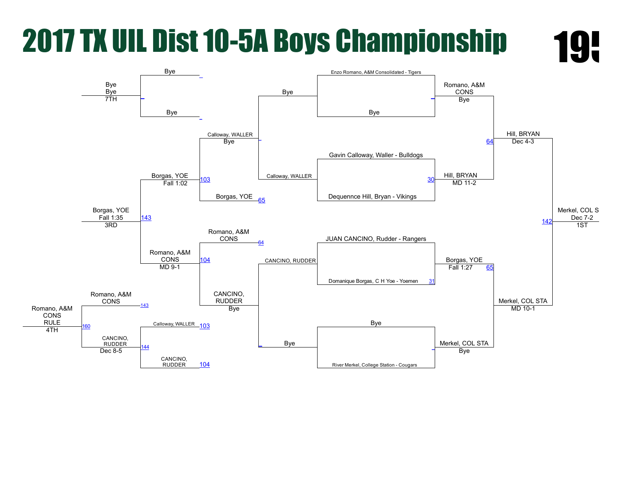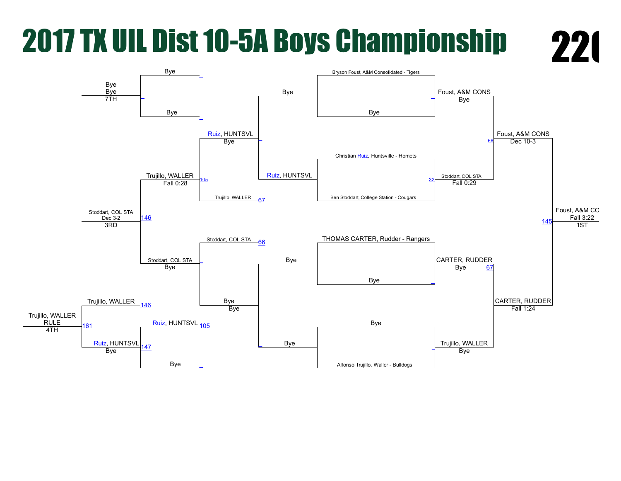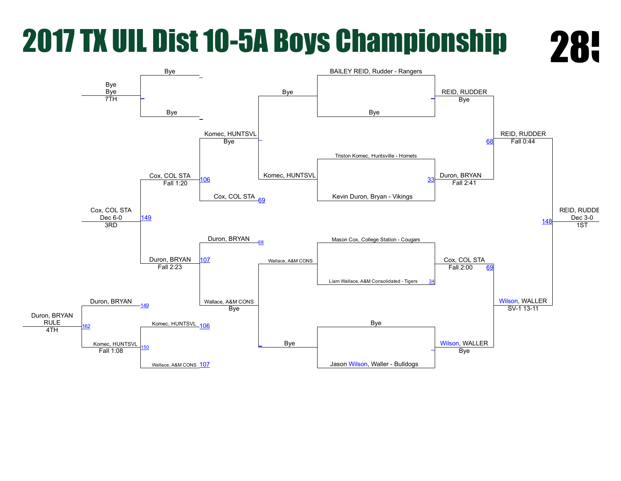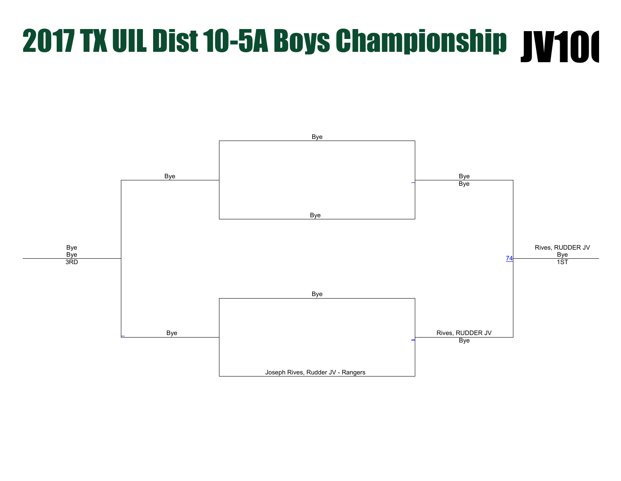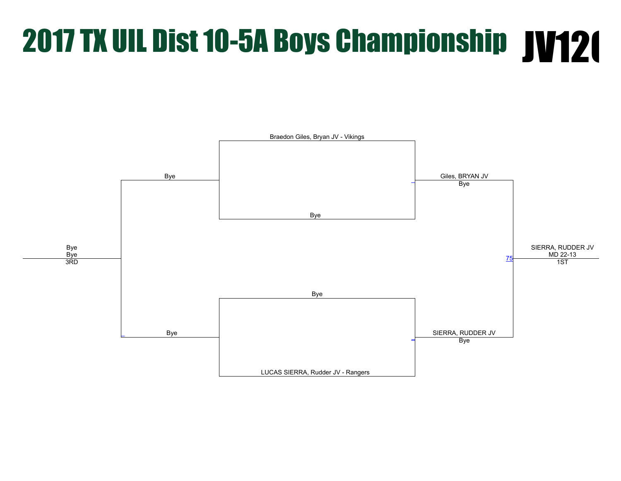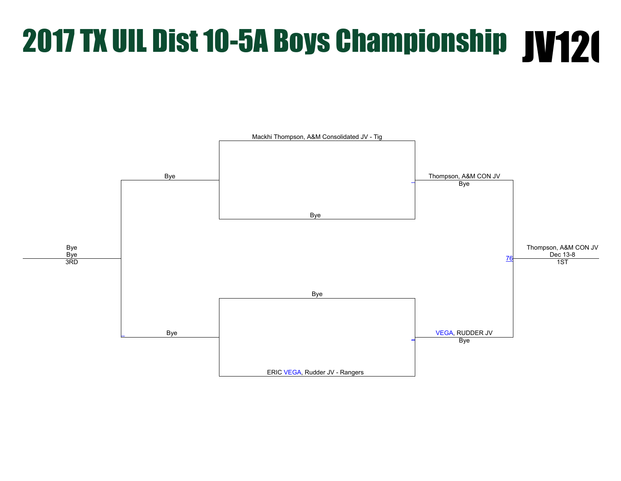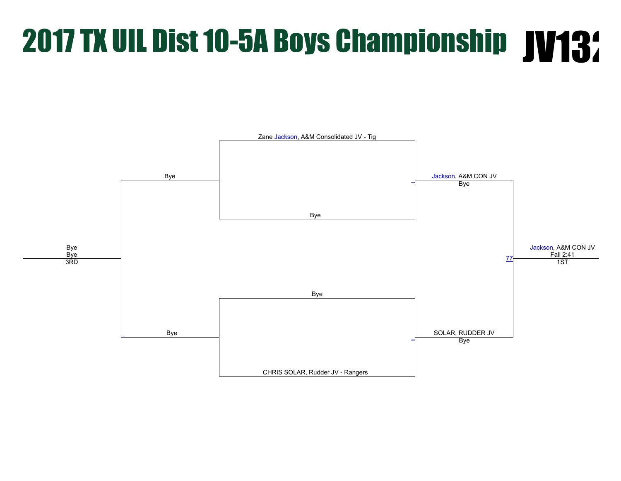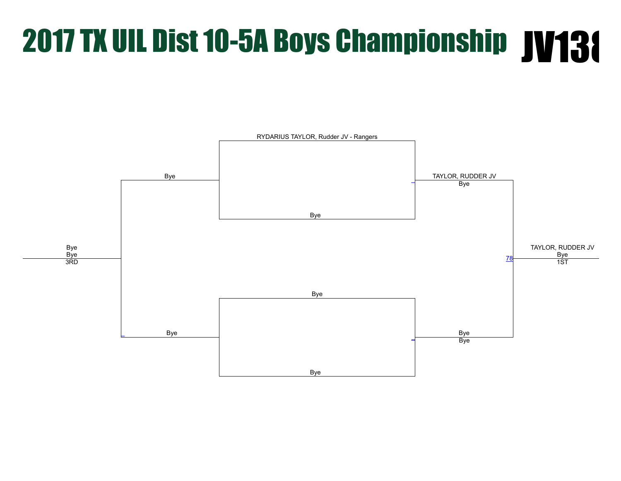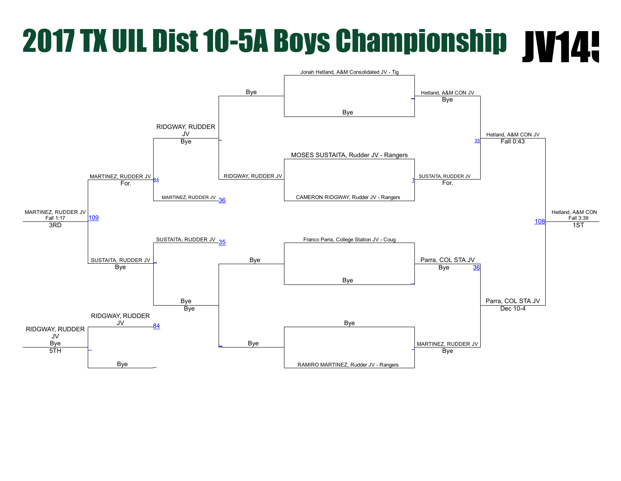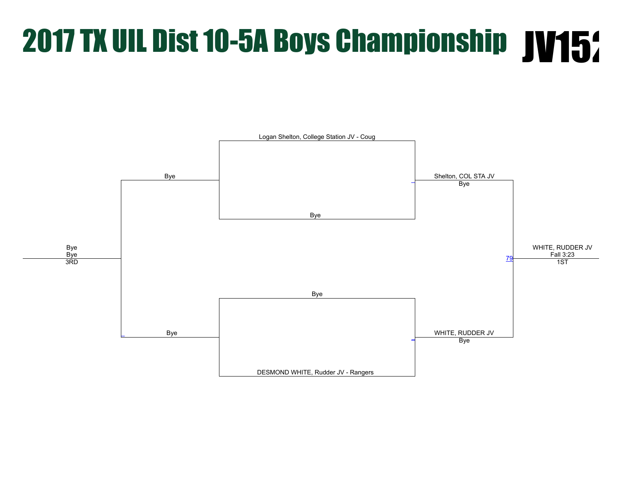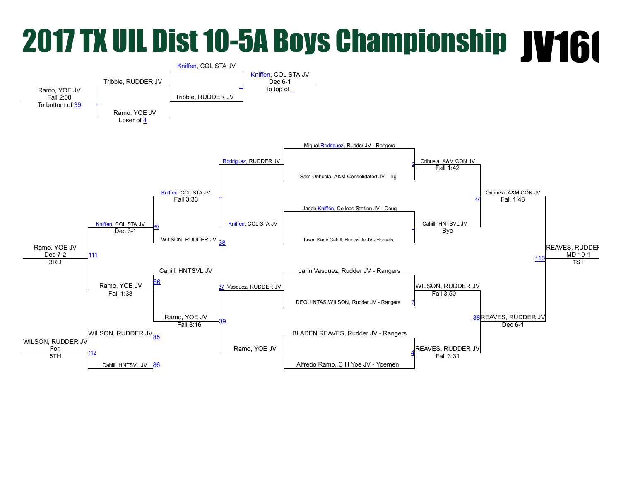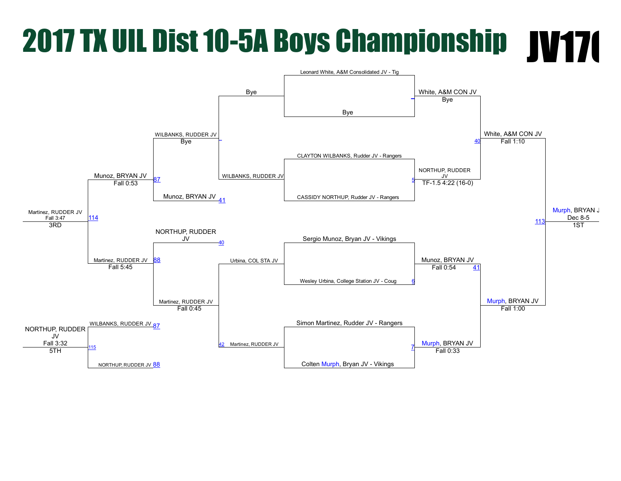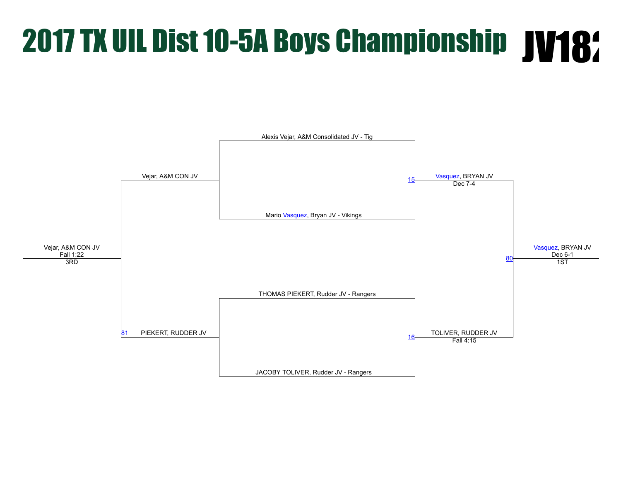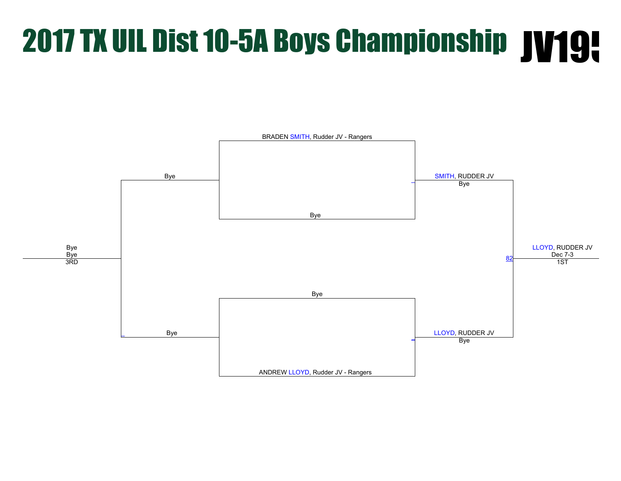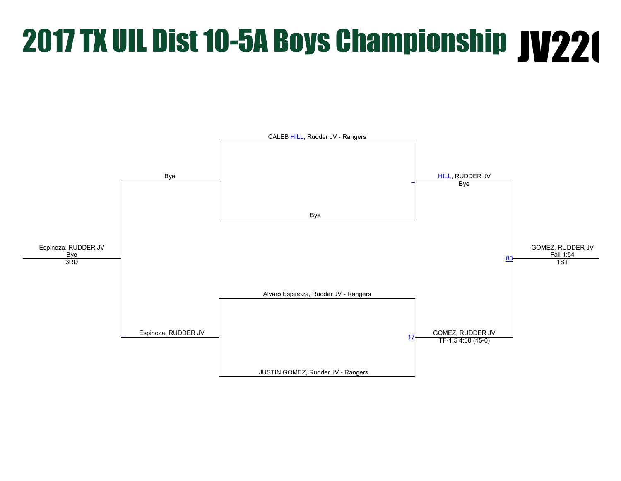